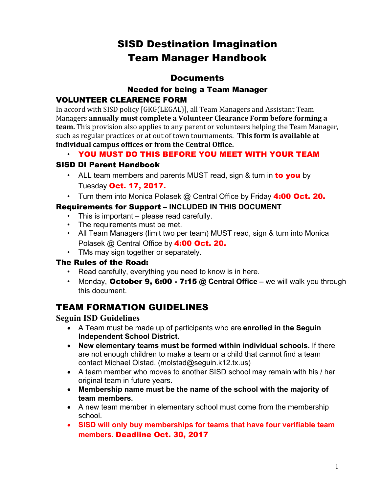# SISD Destination Imagination Team Manager Handbook

# Documents

#### Needed for being a Team Manager

#### VOLUNTEER CLEARENCE FORM

In accord with SISD policy [GKG(LEGAL)], all Team Managers and Assistant Team Managers **annually must complete a Volunteer Clearance Form before forming a team.** This provision also applies to any parent or volunteers helping the Team Manager, such as regular practices or at out of town tournaments. This form is available at individual campus offices or from the Central Office.

#### • YOU MUST DO THIS BEFORE YOU MEET WITH YOUR TEAM

#### SISD DI Parent Handbook

- ALL team members and parents MUST read, sign & turn in **to you** by Tuesday Oct. 17, 2017.
- Turn them into Monica Polasek @ Central Office by Friday 4:00 Oct. 20.

#### Requirements for Support **– INCLUDED IN THIS DOCUMENT**

- This is important please read carefully.
- The requirements must be met.
- All Team Managers (limit two per team) MUST read, sign & turn into Monica Polasek @ Central Office by 4:00 Oct. 20.
- TMs may sign together or separately.

#### The Rules of the Road:

- Read carefully, everything you need to know is in here.
- Monday, October 9, 6:00 7:15 **@ Central Office –** we will walk you through this document.

# TEAM FORMATION GUIDELINES

#### **Seguin ISD Guidelines**

- A Team must be made up of participants who are **enrolled in the Seguin Independent School District.**
- **New elementary teams must be formed within individual schools.** If there are not enough children to make a team or a child that cannot find a team contact Michael Olstad. (molstad@seguin.k12.tx.us)
- A team member who moves to another SISD school may remain with his / her original team in future years.
- **Membership name must be the name of the school with the majority of team members.**
- A new team member in elementary school must come from the membership school.
- **SISD will only buy memberships for teams that have four verifiable team members.** Deadline Oct. 30, 2017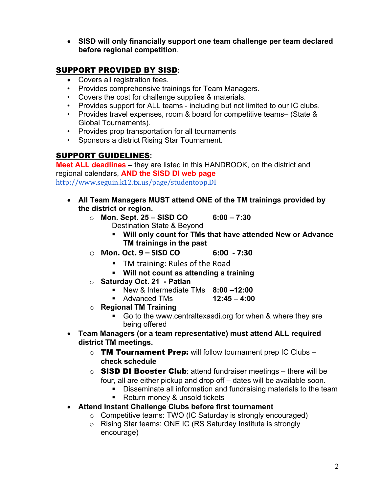• **SISD will only financially support one team challenge per team declared before regional competition**.

# SUPPORT PROVIDED BY SISD**:**

- Covers all registration fees.
- Provides comprehensive trainings for Team Managers.
- Covers the cost for challenge supplies & materials.
- Provides support for ALL teams including but not limited to our IC clubs.
- Provides travel expenses, room & board for competitive teams– (State & Global Tournaments).
- Provides prop transportation for all tournaments
- Sponsors a district Rising Star Tournament.

# SUPPORT GUIDELINES**:**

**Meet ALL deadlines –** they are listed in this HANDBOOK, on the district and regional calendars, **AND the SISD DI web page** http://www.seguin.k12.tx.us/page/studentopp.DI

- **All Team Managers MUST attend ONE of the TM trainings provided by the district or region.**
	- o **Mon. Sept. 25 – SISD CO 6:00 – 7:30** Destination State & Beyond
		- § **Will only count for TMs that have attended New or Advance TM trainings in the past**
	- o **Mon. Oct. 9 – SISD CO 6:00 - 7:30**
		- TM training: Rules of the Road
		- § **Will not count as attending a training**
	- o **Saturday Oct. 21 - Patlan**
		- § New & Intermediate TMs **8:00 –12:00**
		- § Advanced TMs **12:45 – 4:00**
	- o **Regional TM Training**
		- Go to the www.centraltexasdi.org for when & where they are being offered
- **Team Managers (or a team representative) must attend ALL required district TM meetings.**
	- $\circ$  TM Tournament Prep: will follow tournament prep IC Clubs  $$ **check schedule**
	- $\circ$  SISD DI Booster Club: attend fundraiser meetings there will be four, all are either pickup and drop off – dates will be available soon.
		- Disseminate all information and fundraising materials to the team
		- Return money & unsold tickets
- **Attend Instant Challenge Clubs before first tournament**
	- o Competitive teams: TWO (IC Saturday is strongly encouraged)
	- o Rising Star teams: ONE IC (RS Saturday Institute is strongly encourage)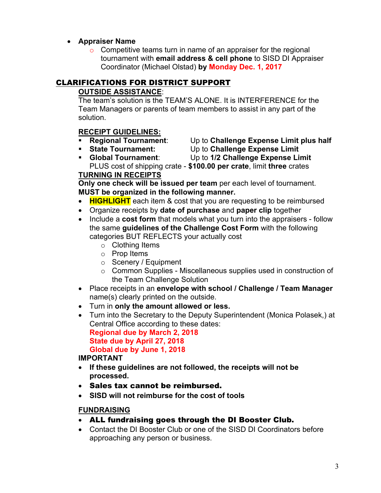## • **Appraiser Name**

o Competitive teams turn in name of an appraiser for the regional tournament with **email address & cell phone** to SISD DI Appraiser Coordinator (Michael Olstad) **by Monday Dec. 1, 2017**

# CLARIFICATIONS FOR DISTRICT SUPPORT

# **OUTSIDE ASSISTANCE**:

The team's solution is the TEAM'S ALONE. It is INTERFERENCE for the Team Managers or parents of team members to assist in any part of the solution.

# **RECEIPT GUIDELINES:**

- 
- § **Regional Tournament**: Up to **Challenge Expense Limit plus half**
- § **State Tournament:** Up to **Challenge Expense Limit**
- § **Global Tournament**: Up to **1/2 Challenge Expense Limit**
	- PLUS cost of shipping crate **\$100.00 per crate**, limit **three** crates

# **TURNING IN RECEIPTS**

**Only one check will be issued per team** per each level of tournament. **MUST be organized in the following manner.**

- **HIGHLIGHT** each item & cost that you are requesting to be reimbursed
- Organize receipts by **date of purchase** and **paper clip** together
- Include a **cost form** that models what you turn into the appraisers follow the same **guidelines of the Challenge Cost Form** with the following categories BUT REFLECTS your actually cost
	- o Clothing Items
	- o Prop Items
	- o Scenery / Equipment
	- o Common Supplies Miscellaneous supplies used in construction of the Team Challenge Solution
- Place receipts in an **envelope with school / Challenge / Team Manager** name(s) clearly printed on the outside.
- Turn in **only the amount allowed or less.**
- Turn into the Secretary to the Deputy Superintendent (Monica Polasek,) at Central Office according to these dates:

**Regional due by March 2, 2018 State due by April 27, 2018 Global due by June 1, 2018**

#### **IMPORTANT**

- **If these guidelines are not followed, the receipts will not be processed.**
- Sales tax cannot be reimbursed.
- **SISD will not reimburse for the cost of tools**

# **FUNDRAISING**

- ALL fundraising goes through the DI Booster Club.
- Contact the DI Booster Club or one of the SISD DI Coordinators before approaching any person or business.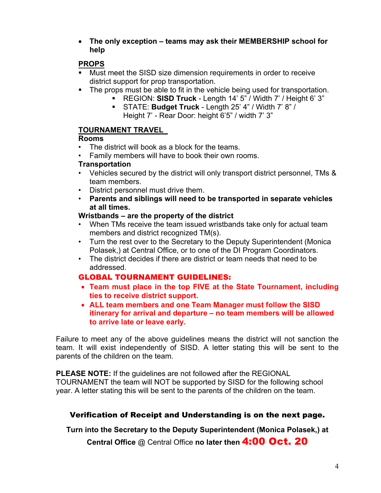• **The only exception – teams may ask their MEMBERSHIP school for help**

## **PROPS**

- § Must meet the SISD size dimension requirements in order to receive district support for prop transportation.
- § The props must be able to fit in the vehicle being used for transportation.
	- § REGION: **SISD Truck** Length 14' 5" / Width 7' / Height 6' 3"
		- § STATE: **Budget Truck** Length 25' 4" / Width 7' 8" / Height 7' - Rear Door: height 6'5" / width 7' 3"

# **TOURNAMENT TRAVEL**

#### **Rooms**

- The district will book as a block for the teams.
- Family members will have to book their own rooms.

#### **Transportation**

- Vehicles secured by the district will only transport district personnel, TMs & team members.
- District personnel must drive them.
- **Parents and siblings will need to be transported in separate vehicles at all times.**

#### **Wristbands – are the property of the district**

- When TMs receive the team issued wristbands take only for actual team members and district recognized TM(s).
- Turn the rest over to the Secretary to the Deputy Superintendent (Monica Polasek,) at Central Office, or to one of the DI Program Coordinators.
- The district decides if there are district or team needs that need to be addressed.

# GLOBAL TOURNAMENT GUIDELINES:

- **Team must place in the top FIVE at the State Tournament, including ties to receive district support.**
- **ALL team members and one Team Manager must follow the SISD itinerary for arrival and departure – no team members will be allowed to arrive late or leave early.**

Failure to meet any of the above guidelines means the district will not sanction the team. It will exist independently of SISD. A letter stating this will be sent to the parents of the children on the team.

**PLEASE NOTE:** If the guidelines are not followed after the REGIONAL TOURNAMENT the team will NOT be supported by SISD for the following school year. A letter stating this will be sent to the parents of the children on the team.

# Verification of Receipt and Understanding is on the next page.

**Turn into the Secretary to the Deputy Superintendent (Monica Polasek,) at** 

**Central Office** @ Central Office **no later then** 4:00 Oct. 20